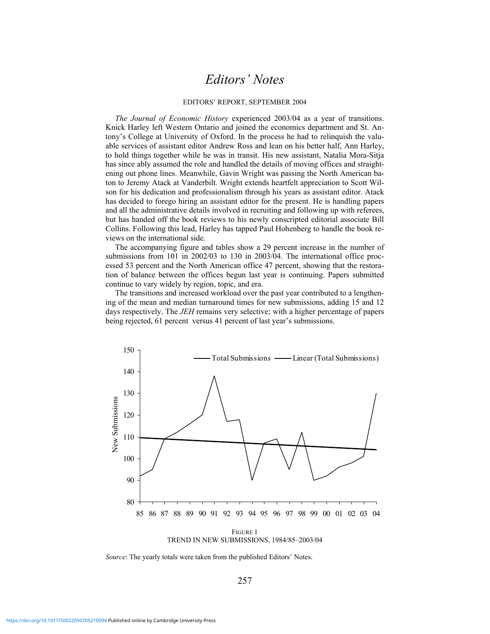#### EDITORS' REPORT, SEPTEMBER 2004

*The Journal of Economic History* experienced 2003/04 as a year of transitions. Knick Harley left Western Ontario and joined the economics department and St. Antony's College at University of Oxford. In the process he had to relinquish the valuable services of assistant editor Andrew Ross and lean on his better half, Ann Harley, to hold things together while he was in transit. His new assistant, Natalia Mora-Sitja has since ably assumed the role and handled the details of moving offices and straightening out phone lines. Meanwhile, Gavin Wright was passing the North American baton to Jeremy Atack at Vanderbilt. Wright extends heartfelt appreciation to Scott Wilson for his dedication and professionalism through his years as assistant editor. Atack has decided to forego hiring an assistant editor for the present. He is handling papers and all the administrative details involved in recruiting and following up with referees, but has handed off the book reviews to his newly conscripted editorial associate Bill Collins. Following this lead, Harley has tapped Paul Hohenberg to handle the book reviews on the international side.

 The accompanying figure and tables show a 29 percent increase in the number of submissions from 101 in 2002/03 to 130 in 2003/04. The international office processed 53 percent and the North American office 47 percent, showing that the restoration of balance between the offices begun last year is continuing. Papers submitted continue to vary widely by region, topic, and era.

 The transitions and increased workload over the past year contributed to a lengthening of the mean and median turnaround times for new submissions, adding 15 and 12 days respectively. The *JEH* remains very selective; with a higher percentage of papers being rejected, 61 percent versus 41 percent of last year's submissions.



*Source*: The yearly totals were taken from the published Editors' Notes.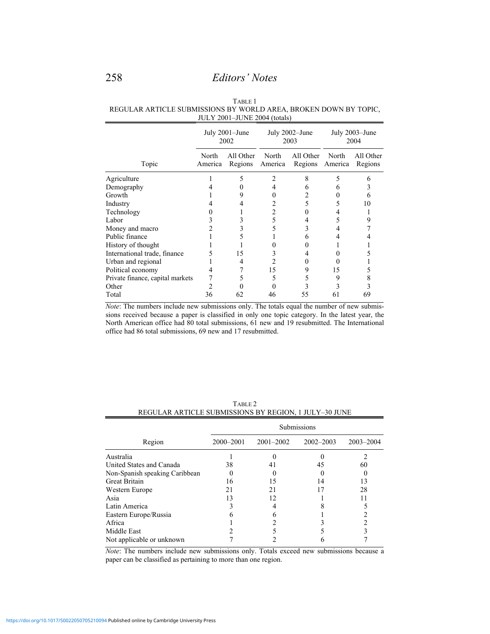|                                  |                        | $\frac{1}{2001}$ 2001 $\frac{1}{201}$ 2001 (totals) |                        |                                      |                        |                      |  |
|----------------------------------|------------------------|-----------------------------------------------------|------------------------|--------------------------------------|------------------------|----------------------|--|
|                                  | July 2001–June<br>2002 |                                                     | July 2002–June<br>2003 |                                      | July 2003–June<br>2004 |                      |  |
| Topic                            | North<br>America       | All Other<br>Regions                                | North                  | All Other<br>America Regions America | North                  | All Other<br>Regions |  |
| Agriculture                      |                        |                                                     |                        | 8                                    |                        | h                    |  |
| Demography                       |                        |                                                     |                        |                                      |                        |                      |  |
| Growth                           |                        |                                                     |                        |                                      |                        |                      |  |
| Industry                         |                        |                                                     |                        |                                      |                        | 10                   |  |
| Technology                       |                        |                                                     |                        |                                      |                        |                      |  |
| Labor                            |                        |                                                     |                        |                                      |                        |                      |  |
| Money and macro                  |                        |                                                     |                        |                                      |                        |                      |  |
| Public finance                   |                        |                                                     |                        |                                      |                        |                      |  |
| History of thought               |                        |                                                     |                        |                                      |                        |                      |  |
| International trade, finance     |                        | 15                                                  |                        |                                      |                        |                      |  |
| Urban and regional               |                        |                                                     |                        |                                      |                        |                      |  |
| Political economy                |                        |                                                     | 15                     |                                      | 15                     |                      |  |
| Private finance, capital markets |                        |                                                     |                        |                                      | 9                      |                      |  |
| Other                            |                        |                                                     |                        |                                      |                        |                      |  |

TABLE 1 REGULAR ARTICLE SUBMISSIONS BY WORLD AREA, BROKEN DOWN BY TOPIC,  $JULY 2001–JUINE 2004 (totals)$ 

*Note*: The numbers include new submissions only. The totals equal the number of new submissions received because a paper is classified in only one topic category. In the latest year, the North American office had 80 total submissions, 61 new and 19 resubmitted. The International office had 86 total submissions, 69 new and 17 resubmitted.

Total 36 62 46 55 61 69

| <u>KEQULAR ARTICLE SUBMISSIONS DT REGION, I JULT-30 JUNE</u> |             |               |               |           |  |  |
|--------------------------------------------------------------|-------------|---------------|---------------|-----------|--|--|
|                                                              | Submissions |               |               |           |  |  |
| Region                                                       | 2000-2001   | $2001 - 2002$ | $2002 - 2003$ | 2003-2004 |  |  |
| Australia                                                    |             |               |               |           |  |  |
| United States and Canada                                     | 38          | 41            | 45            | 60        |  |  |
| Non-Spanish speaking Caribbean                               |             |               |               |           |  |  |
| <b>Great Britain</b>                                         | 16          | 15            | 14            | 13        |  |  |
| Western Europe                                               | 21          | 21            |               | 28        |  |  |
| Asia                                                         |             | 12            |               |           |  |  |
| Latin America                                                |             |               |               |           |  |  |
| Eastern Europe/Russia                                        |             |               |               |           |  |  |
| Africa                                                       |             |               |               |           |  |  |
| Middle East                                                  |             |               |               |           |  |  |
| Not applicable or unknown                                    |             |               |               |           |  |  |

TABLE 2 REGULAR ARTICLE SUBMISSIONS BY REGION, 1 JULY-30 JUNE

*Note*: The numbers include new submissions only. Totals exceed new submissions because a paper can be classified as pertaining to more than one region.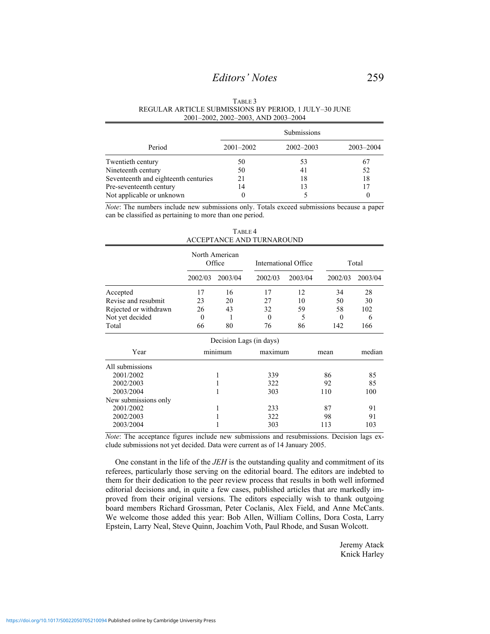#### TABLE 3 REGULAR ARTICLE SUBMISSIONS BY PERIOD, 1 JULY–30 JUNE 2001–2002, 2002–2003, AND 2003–2004

|                                      | Submissions   |               |           |  |
|--------------------------------------|---------------|---------------|-----------|--|
| Period                               | $2001 - 2002$ | $2002 - 2003$ | 2003-2004 |  |
| Twentieth century                    | 50            | 53            | 67        |  |
| Nineteenth century                   | 50            | 41            | 52        |  |
| Seventeenth and eighteenth centuries | 21            | 18            | 18        |  |
| Pre-seventeenth century              | 14            | 13            | 17        |  |
| Not applicable or unknown            |               |               | $\theta$  |  |

*Note*: The numbers include new submissions only. Totals exceed submissions because a paper can be classified as pertaining to more than one period.

| TABLE 4                   |
|---------------------------|
| ACCEPTANCE AND TURNAROUND |
|                           |

|                       |          | North American<br>Office |          | International Office |         | Total   |  |
|-----------------------|----------|--------------------------|----------|----------------------|---------|---------|--|
|                       | 2002/03  | 2003/04                  | 2002/03  | 2003/04              | 2002/03 | 2003/04 |  |
| Accepted              | 17       | 16                       | 17       | 12                   | 34      | 28      |  |
| Revise and resubmit   | 23       | 20                       | 27       | 10                   | 50      | 30      |  |
| Rejected or withdrawn | 26       | 43                       | 32       | 59                   | 58      | 102     |  |
| Not yet decided       | $\theta$ |                          | $\theta$ | 5                    | 0       | 6       |  |
| Total                 | 66       | 80                       | 76       | 86                   | 142     | 166     |  |
|                       |          | Decision Lags (in days)  |          |                      |         |         |  |
| Year                  |          | minimum                  | maximum  |                      | mean    | median  |  |
| All submissions       |          |                          |          |                      |         |         |  |
| 2001/2002             |          | 1                        | 339      |                      | 86      | 85      |  |
| 2002/2003             |          | 1                        | 322      |                      | 92      | 85      |  |
| 2003/2004             |          | 1                        | 303      |                      | 110     | 100     |  |
| New submissions only  |          |                          |          |                      |         |         |  |
| 2001/2002             |          | 1                        | 233      |                      | 87      | 91      |  |
| 2002/2003             |          | 1                        | 322      |                      | 98      | 91      |  |
| 2003/2004             |          |                          | 303      |                      | 113     | 103     |  |

*Note*: The acceptance figures include new submissions and resubmissions. Decision lags exclude submissions not yet decided. Data were current as of 14 January 2005.

 One constant in the life of the *JEH* is the outstanding quality and commitment of its referees, particularly those serving on the editorial board. The editors are indebted to them for their dedication to the peer review process that results in both well informed editorial decisions and, in quite a few cases, published articles that are markedly improved from their original versions. The editors especially wish to thank outgoing board members Richard Grossman, Peter Coclanis, Alex Field, and Anne McCants. We welcome those added this year: Bob Allen, William Collins, Dora Costa, Larry Epstein, Larry Neal, Steve Quinn, Joachim Voth, Paul Rhode, and Susan Wolcott.

> Jeremy Atack Knick Harley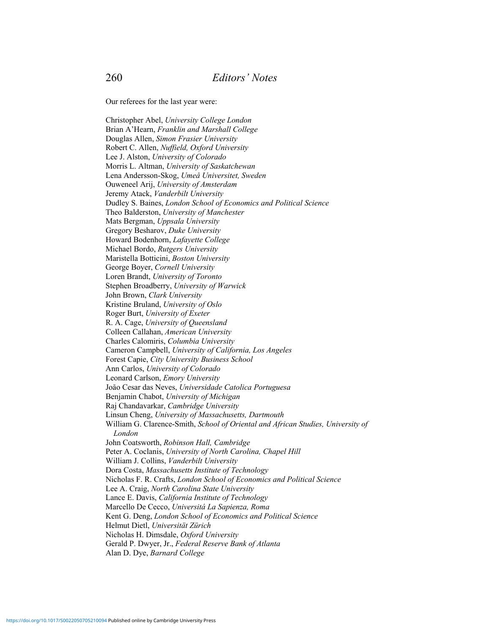Our referees for the last year were:

Christopher Abel, *University College London* Brian A'Hearn, *Franklin and Marshall College* Douglas Allen, *Simon Frasier University* Robert C. Allen, *Nuffield, Oxford University* Lee J. Alston, *University of Colorado* Morris L. Altman, *University of Saskatchewan* Lena Andersson-Skog, *Umeå Universitet, Sweden* Ouweneel Arij, *University of Amsterdam* Jeremy Atack, *Vanderbilt University* Dudley S. Baines, *London School of Economics and Political Science*  Theo Balderston, *University of Manchester* Mats Bergman, *Uppsala University* Gregory Besharov, *Duke University* Howard Bodenhorn, *Lafayette College* Michael Bordo, *Rutgers University* Maristella Botticini, *Boston University* George Boyer, *Cornell University* Loren Brandt, *University of Toronto* Stephen Broadberry, *University of Warwick* John Brown, *Clark University* Kristine Bruland, *University of Oslo* Roger Burt, *University of Exeter* R. A. Cage, *University of Queensland* Colleen Callahan, *American University* Charles Calomiris, *Columbia University* Cameron Campbell, *University of California, Los Angeles* Forest Capie, *City University Business School* Ann Carlos, *University of Colorado* Leonard Carlson, *Emory University* João Cesar das Neves, Universidade Catolica Portuguesa Benjamin Chabot, *University of Michigan* Raj Chandavarkar, *Cambridge University* Linsun Cheng, *University of Massachusetts, Dartmouth* William G. Clarence-Smith, *School of Oriental and African Studies, University of London* John Coatsworth, *Robinson Hall, Cambridge* Peter A. Coclanis, *University of North Carolina, Chapel Hill* William J. Collins, *Vanderbilt University*  Dora Costa, *Massachusetts Institute of Technology* Nicholas F. R. Crafts, *London School of Economics and Political Science* Lee A. Craig, *North Carolina State University* Lance E. Davis, *California Institute of Technology* Marcello De Cecco, *Universitá La Sapienza, Roma* Kent G. Deng, *London School of Economics and Political Science* Helmut Dietl, *Universität Zürich* Nicholas H. Dimsdale, *Oxford University* Gerald P. Dwyer, Jr., *Federal Reserve Bank of Atlanta* Alan D. Dye, *Barnard College*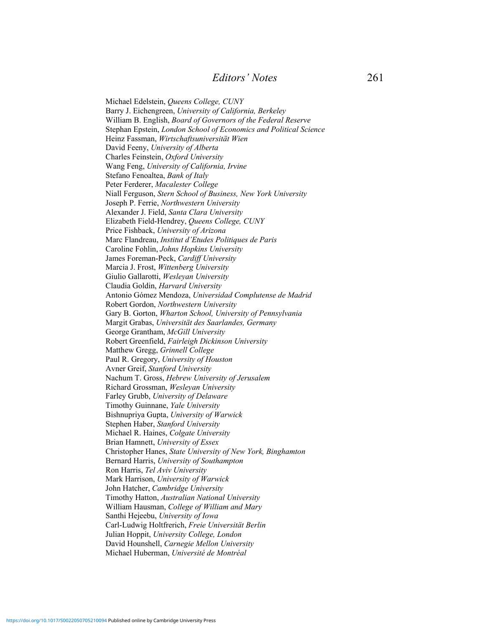Michael Edelstein, *Queens College, CUNY* Barry J. Eichengreen, *University of California, Berkeley* William B. English, *Board of Governors of the Federal Reserve* Stephan Epstein, *London School of Economics and Political Science* Heinz Fassman, *Wirtschaftsuniversität Wien* David Feeny, *University of Alberta* Charles Feinstein, *Oxford University* Wang Feng, *University of California, Irvine* Stefano Fenoaltea, *Bank of Italy* Peter Ferderer, *Macalester College* Niall Ferguson, *Stern School of Business, New York University* Joseph P. Ferrie, *Northwestern University* Alexander J. Field, *Santa Clara University* Elizabeth Field-Hendrey, *Queens College, CUNY* Price Fishback, *University of Arizona* Marc Flandreau, *Institut d'Etudes Politiques de Paris* Caroline Fohlin, *Johns Hopkins University* James Foreman-Peck, *Cardiff University* Marcia J. Frost, *Wittenberg University* Giulio Gallarotti, *Wesleyan University* Claudia Goldin, *Harvard University* Antonio Gómez Mendoza, *Universidad Complutense de Madrid* Robert Gordon, *Northwestern University* Gary B. Gorton, *Wharton School, University of Pennsylvania* Margit Grabas, *Universität des Saarlandes, Germany* George Grantham, *McGill University* Robert Greenfield, *Fairleigh Dickinson University* Matthew Gregg, *Grinnell College* Paul R. Gregory, *University of Houston* Avner Greif, *Stanford University* Nachum T. Gross, *Hebrew University of Jerusalem* Richard Grossman, *Wesleyan University* Farley Grubb, *University of Delaware* Timothy Guinnane, *Yale University* Bishnupriya Gupta, *University of Warwick* Stephen Haber, *Stanford University* Michael R. Haines, *Colgate University* Brian Hamnett, *University of Essex* Christopher Hanes, *State University of New York, Binghamton* Bernard Harris, *University of Southampton* Ron Harris, *Tel Aviv University* Mark Harrison, *University of Warwick* John Hatcher, *Cambridge University* Timothy Hatton, *Australian National University* William Hausman, *College of William and Mary* Santhi Hejeebu, *University of Iowa* Carl-Ludwig Holtfrerich, *Freie Universität Berlin* Julian Hoppit, *University College, London* David Hounshell, *Carnegie Mellon University* Michael Huberman, *Université de Montréal*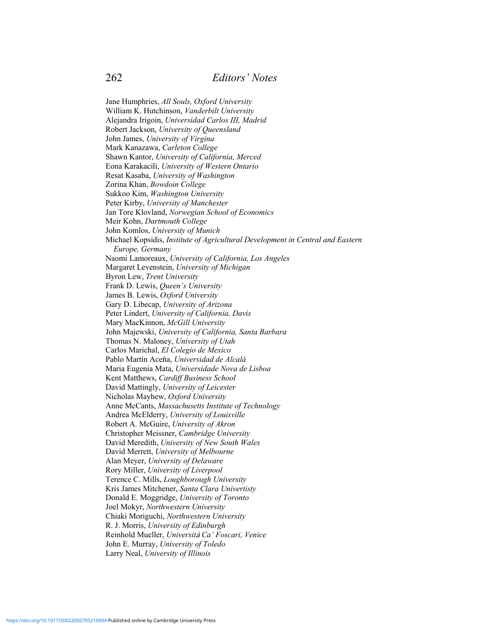Jane Humphries, *All Souls, Oxford University* William K. Hutchinson, *Vanderbilt University* Alejandra Irigoin, *Universidad Carlos III, Madrid* Robert Jackson, *University of Queensland* John James, *University of Virgina* Mark Kanazawa, *Carleton College* Shawn Kantor, *University of California, Merced* Eona Karakacili, *University of Western Ontario* Resat Kasaba, *University of Washington* Zorina Khan, *Bowdoin College* Sukkoo Kim, *Washington University* Peter Kirby, *University of Manchester* Jan Tore Klovland, *Norwegian School of Economics* Meir Kohn, *Dartmouth College* John Komlos, *University of Munich* Michael Kopsidis, *Institute of Agricultural Development in Central and Eastern Europe, Germany* Naomi Lamoreaux, *University of California, Los Angeles* Margaret Levenstein, *University of Michigan* Byron Lew, *Trent University* Frank D. Lewis, *Queen's University* James B. Lewis, *Oxford University* Gary D. Libecap, *University of Arizona* Peter Lindert, *University of California, Davis* Mary MacKinnon, *McGill University* John Majewski, *University of California, Santa Barbara* Thomas N. Maloney, *University of Utah* Carlos Marichal, *El Colegio de Mexico* Pablo Martín Aceña, Universidad de Alcalá Maria Eugenia Mata, *Universidade Nova de Lisboa* Kent Matthews, *Cardiff Business School* David Mattingly, *University of Leicester* Nicholas Mayhew, *Oxford University* Anne McCants, *Massachusetts Institute of Technology* Andrea McElderry, *University of Louisville* Robert A. McGuire, *University of Akron* Christopher Meissner, *Cambridge University* David Meredith, *University of New South Wales* David Merrett, *University of Melbourne* Alan Meyer, *University of Delaware* Rory Miller, *University of Liverpool* Terence C. Mills, *Loughborough University* Kris James Mitchener, *Santa Clara Univertisty* Donald E. Moggridge, *University of Toronto* Joel Mokyr, *Northwestern University* Chiaki Moriguchi, *Northwestern University* R. J. Morris, *University of Edinburgh* Reinhold Mueller, *Universit*B *Ca' Foscari, Venice* John E. Murray, *University of Toledo* Larry Neal, *University of Illinois*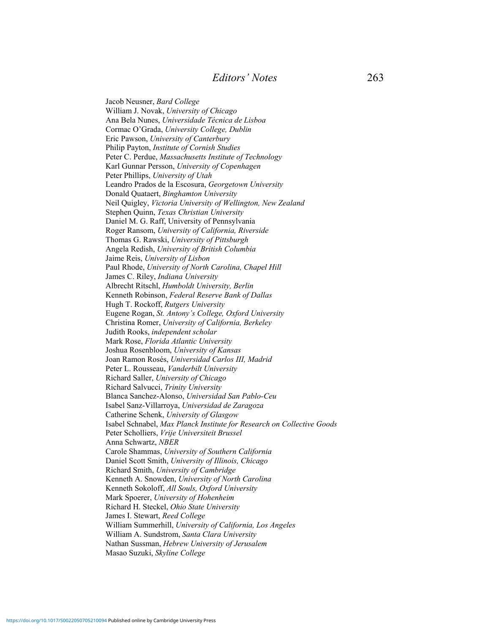Jacob Neusner, *Bard College* William J. Novak, *University of Chicago* Ana Bela Nunes, *Universidade Técnica de Lisboa* Cormac O'Grada, *University College, Dublin* Eric Pawson, *University of Canterbury* Philip Payton, *Institute of Cornish Studies* Peter C. Perdue, *Massachusetts Institute of Technology* Karl Gunnar Persson, *University of Copenhagen* Peter Phillips, *University of Utah* Leandro Prados de la Escosura, *Georgetown University* Donald Quataert, *Binghamton University* Neil Quigley, *Victoria University of Wellington, New Zealand* Stephen Quinn, *Texas Christian University* Daniel M. G. Raff, University of Pennsylvania Roger Ransom, *University of California, Riverside* Thomas G. Rawski, *University of Pittsburgh* Angela Redish, *University of British Columbia* Jaime Reis, *University of Lisbon* Paul Rhode, *University of North Carolina, Chapel Hill* James C. Riley, *Indiana University* Albrecht Ritschl, *Humboldt University, Berlin* Kenneth Robinson, *Federal Reserve Bank of Dallas* Hugh T. Rockoff, *Rutgers University* Eugene Rogan, *St. Antony's College, Oxford University* Christina Romer, *University of California, Berkeley* Judith Rooks, *independent scholar* Mark Rose, *Florida Atlantic University* Joshua Rosenbloom, *University of Kansas* Joan Ramon Rosés, *Universidad Carlos III, Madrid* Peter L. Rousseau, *Vanderbilt University* Richard Saller, *University of Chicago* Richard Salvucci, *Trinity University* Blanca Sanchez-Alonso, *Universidad San Pablo-Ceu* Isabel Sanz-Villarroya, *Universidad de Zaragoza* Catherine Schenk, *University of Glasgow* Isabel Schnabel, *Max Planck Institute for Research on Collective Goods* Peter Scholliers, *Vrije Universiteit Brussel* Anna Schwartz, *NBER* Carole Shammas, *University of Southern California* Daniel Scott Smith, *University of Illinois, Chicago*  Richard Smith, *University of Cambridge* Kenneth A. Snowden, *University of North Carolina* Kenneth Sokoloff, *All Souls, Oxford University* Mark Spoerer, *University of Hohenheim* Richard H. Steckel, *Ohio State University* James I. Stewart, *Reed College* William Summerhill, *University of California, Los Angeles* William A. Sundstrom, *Santa Clara University* Nathan Sussman, *Hebrew University of Jerusalem* Masao Suzuki, *Skyline College*